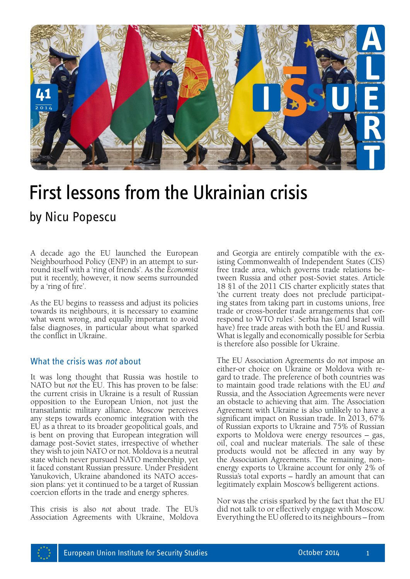

# First lessons from the Ukrainian crisis

A decade ago the EU launched the European Neighbourhood Policy (ENP) in an attempt to surround itself with a 'ring of friends'. As the *Economist*  put it recently, however, it now seems surrounded by a 'ring of fire'.

As the EU begins to reassess and adjust its policies towards its neighbours, it is necessary to examine what went wrong, and equally important to avoid false diagnoses, in particular about what sparked the conflict in Ukraine.

### What the crisis was *not* about

It was long thought that Russia was hostile to NATO but *not* the EU. This has proven to be false: the current crisis in Ukraine is a result of Russian opposition to the European Union, not just the transatlantic military alliance. Moscow perceives any steps towards economic integration with the EU as a threat to its broader geopolitical goals, and is bent on proving that European integration will damage post-Soviet states, irrespective of whether they wish to join NATO or not. Moldova is a neutral state which never pursued NATO membership, yet it faced constant Russian pressure. Under President Yanukovich, Ukraine abandoned its NATO accession plans: yet it continued to be a target of Russian coercion efforts in the trade and energy spheres.

This crisis is also *not* about trade. The EU's Association Agreements with Ukraine, Moldova

and Georgia are entirely compatible with the existing Commonwealth of Independent States (CIS) free trade area, which governs trade relations between Russia and other post-Soviet states. Article 18 §1 of the 2011 CIS charter explicitly states that 'the current treaty does not preclude participating states from taking part in customs unions, free trade or cross-border trade arrangements that correspond to WTO rules'. Serbia has (and Israel will have) free trade areas with both the EU and Russia. What is legally and economically possible for Serbia is therefore also possible for Ukraine.

The EU Association Agreements do *not* impose an gard to trade. The preference of both countries was to maintain good trade relations with the EU *and* Russia, and the Association Agreements were never an obstacle to achieving that aim. The Association Agreement with Ukraine is also unlikely to have a significant impact on Russian trade. In 2013, 67% of Russian exports to Ukraine and 75% of Russian exports to Moldova were energy resources – gas, oil, coal and nuclear materials. The sale of these products would not be affected in any way by the Association Agreements. The remaining, nonenergy exports to Ukraine account for only 2% of Russia's total exports – hardly an amount that can legitimately explain Moscow's belligerent actions.

Nor was the crisis sparked by the fact that the EU did not talk to or effectively engage with Moscow. Everything the EU offered to its neighbours – from